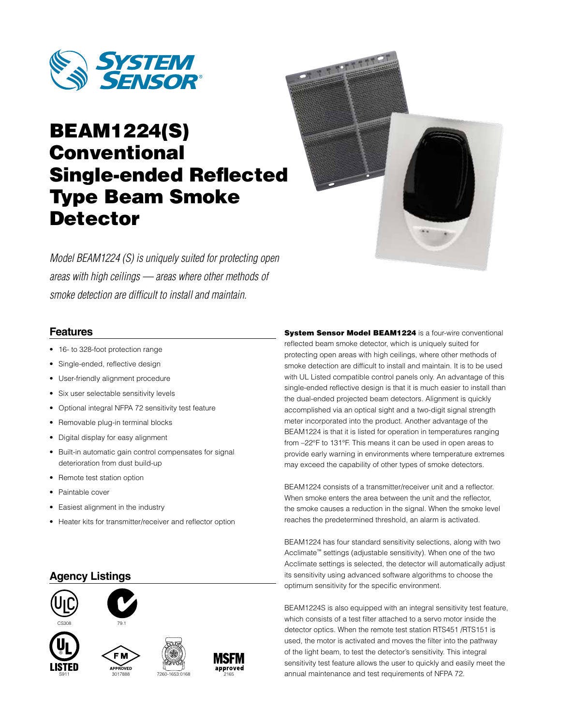

# BEAM1224(S) Conventional Single-ended Reflected Type Beam Smoke **Detector**



*Model BEAM1224 (S) is uniquely suited for protecting open areas with high ceilings — areas where other methods of smoke detection are difficult to install and maintain.*

#### **Features**

- 16- to 328-foot protection range
- Single-ended, reflective design
- User-friendly alignment procedure
- Six user selectable sensitivity levels
- Optional integral NFPA 72 sensitivity test feature
- Removable plug-in terminal blocks
- Digital display for easy alignment
- Built-in automatic gain control compensates for signal deterioration from dust build-up
- Remote test station option
- Paintable cover
- Easiest alignment in the industry
- Heater kits for transmitter/receiver and reflector option

#### **Agency Listings**



System Sensor Model BEAM1224 is a four-wire conventional reflected beam smoke detector, which is uniquely suited for protecting open areas with high ceilings, where other methods of smoke detection are difficult to install and maintain. It is to be used with UL Listed compatible control panels only. An advantage of this single-ended reflective design is that it is much easier to install than the dual-ended projected beam detectors. Alignment is quickly accomplished via an optical sight and a two-digit signal strength meter incorporated into the product. Another advantage of the BEAM1224 is that it is listed for operation in temperatures ranging from –22°F to 131°F. This means it can be used in open areas to provide early warning in environments where temperature extremes may exceed the capability of other types of smoke detectors.

BEAM1224 consists of a transmitter/receiver unit and a reflector. When smoke enters the area between the unit and the reflector, the smoke causes a reduction in the signal. When the smoke level reaches the predetermined threshold, an alarm is activated.

BEAM1224 has four standard sensitivity selections, along with two Acclimate™ settings (adjustable sensitivity). When one of the two Acclimate settings is selected, the detector will automatically adjust its sensitivity using advanced software algorithms to choose the optimum sensitivity for the specific environment.

BEAM1224S is also equipped with an integral sensitivity test feature, which consists of a test filter attached to a servo motor inside the detector optics. When the remote test station RTS451 /RTS151 is used, the motor is activated and moves the filter into the pathway of the light beam, to test the detector's sensitivity. This integral sensitivity test feature allows the user to quickly and easily meet the approved<br><sup>2165</sup> annual maintenance and test requirements of NFPA 72.